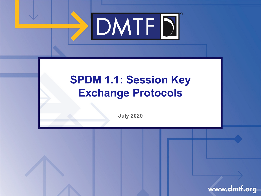

### **SPDM 1.1: Session Key Exchange Protocols**

**July 2020**

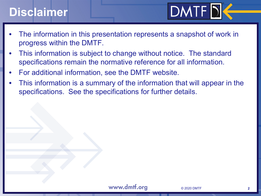## **Disclaimer**



- The information in this presentation represents a snapshot of work in progress within the DMTF.
- This information is subject to change without notice. The standard specifications remain the normative reference for all information.
- For additional information, see the DMTF website.
- This information is a summary of the information that will appear in the specifications. See the specifications for further details.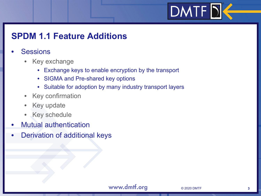# $DMTF$  $D$

#### **SPDM 1.1 Feature Additions**

#### **Sessions**

- Key exchange
	- Exchange keys to enable encryption by the transport
	- SIGMA and Pre-shared key options
	- Suitable for adoption by many industry transport layers
- Key confirmation
- Key update
- Key schedule
- Mutual authentication
- Derivation of additional keys

#### www.dmtf.org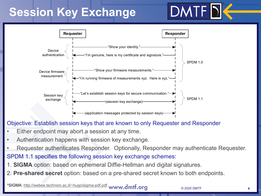## **Session Key Exchange**





#### Objective: Establish session keys that are known to only Requester and Responder

- Either endpoint may abort a session at any time.
- Authentication happens with session key exchange.
- Requester authenticates Responder. Optionally, Responder may authenticate Requester. SPDM 1.1 specifies the following session key exchange schemes:
- 1. **SIGMA** option: based on ephemeral Diffie-Hellman and digital signatures.
- 2. **Pre-shared secret** option: based on a pre-shared secret known to both endpoints.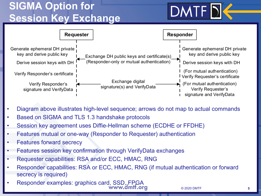### **SIGMA Option for Session Key Exchange**





- Diagram above illustrates high-level sequence; arrows do not map to actual commands
- Based on SIGMA and TLS 1.3 handshake protocols
- Session key agreement uses Diffie-Hellman scheme (ECDHE or FFDHE)
- Features mutual or one-way (Responder to Requester) authentication
- **Features forward secrecy**
- Features session key confirmation through VerifyData exchanges
- Requester capabilities: RSA and/or ECC, HMAC, RNG
- Responder capabilities: RSA or ECC, HMAC, RNG (if mutual authentication or forward secrecy is required)
- Responder examples: graphics card, SSD, FPGA

© 2020 DMTF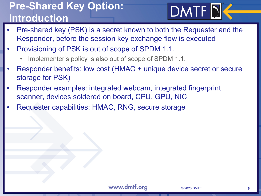#### **Pre-Shared Key Option: Introduction**

**DMTFD** 

- Pre-shared key (PSK) is a secret known to both the Requester and the Responder, before the session key exchange flow is executed
- Provisioning of PSK is out of scope of SPDM 1.1.
	- Implementer's policy is also out of scope of SPDM 1.1.
- Responder benefits: low cost (HMAC + unique device secret or secure storage for PSK)
- Responder examples: integrated webcam, integrated fingerprint scanner, devices soldered on board, CPU, GPU, NIC
- Requester capabilities: HMAC, RNG, secure storage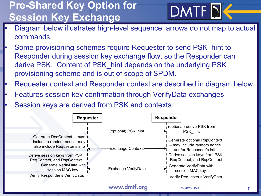### **Pre-Shared Key Option for Session Key Exchange**



- Diagram below illustrates high-level sequence; arrows do not map to actual commands.
- Some provisioning schemes require Requester to send PSK hint to Responder during session key exchange flow, so the Responder can derive PSK. Content of PSK\_hint depends on the underlying PSK provisioning scheme and is out of scope of SPDM.
- Requester context and Responder context are described in diagram below.
- Features session key confirmation through VerifyData exchanges
- Session keys are derived from PSK and contexts.



www.dmtf.org

© 2020 DMTF

**7**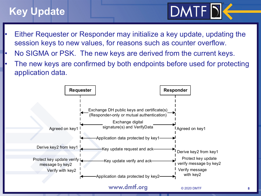## **Key Update**

- $DMTF$  $D$
- Either Requester or Responder may initialize a key update, updating the session keys to new values, for reasons such as counter overflow.
- No SIGMA or PSK. The new keys are derived from the current keys.
- The new keys are confirmed by both endpoints before used for protecting application data.

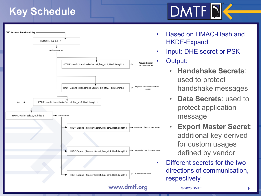#### **Key Schedule**



• Based on HMAC -Hash and HKDF -Expand

DMTF D

• Input: DHE secret or PSK

• Output:

- **Handshake Secrets**: used to protect handshake messages
- **Data Secrets**: used to protect application message
- **Export Master Secret**: additional key derived for custom usages defined by vendor
- Different secrets for the two directions of communication, respectively

© 2020 DMTF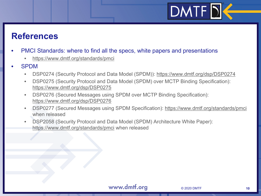# $DMTF$

#### **References**

- PMCI Standards: where to find all the specs, white papers and presentations
	- https://www.dmtf.org/standards/pmci
- SPDM
	- DSP0274 (Security Protocol and Data Model (SPDM)): https://www.dmtf.org/dsp/DSP0274
	- DSP0275 (Security Protocol and Data Model (SPDM) over MCTP Binding Specification): https://www.dmtf.org/dsp/DSP0275
	- DSP0276 (Secured Messages using SPDM over MCTP Binding Specification): https://www.dmtf.org/dsp/DSP0276
	- DSP0277 (Secured Messages using SPDM Specification): https://www.dmtf.org/standards/pmci when released
	- DSP2058 (Security Protocol and Data Model (SPDM) Architecture White Paper): https://www.dmtf.org/standards/pmci when released